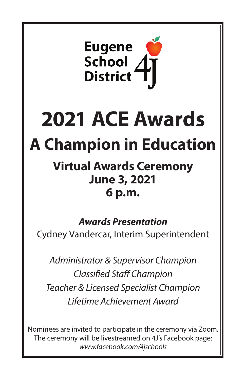

# **2021 ACE Awards**

# **A Champion in Education**

## **Virtual Awards Ceremony June 3, 2021 6 p.m.**

### *Awards Presentation*

Cydney Vandercar, Interim Superintendent

*Administrator & Supervisor Champion Classified Staff Champion Teacher & Licensed Specialist Champion Lifetime Achievement Award*

Nominees are invited to participate in the ceremony via Zoom. The ceremony will be livestreamed on 4J's Facebook page: *www.facebook.com/4jschools*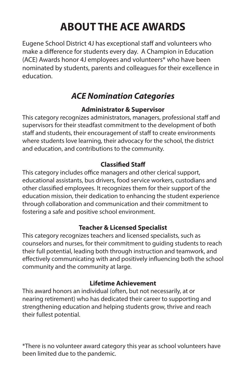## **ABOUT THE ACE AWARDS**

Eugene School District 4J has exceptional staff and volunteers who make a difference for students every day. A Champion in Education (ACE) Awards honor 4J employees and volunteers\* who have been nominated by students, parents and colleagues for their excellence in education.

#### *ACE Nomination Categories*

#### **Administrator & Supervisor**

This category recognizes administrators, managers, professional staff and supervisors for their steadfast commitment to the development of both staff and students, their encouragement of staff to create environments where students love learning, their advocacy for the school, the district and education, and contributions to the community.

#### **Classified Staff**

This category includes office managers and other clerical support, educational assistants, bus drivers, food service workers, custodians and other classified employees. It recognizes them for their support of the education mission, their dedication to enhancing the student experience through collaboration and communication and their commitment to fostering a safe and positive school environment.

#### **Teacher & Licensed Specialist**

This category recognizes teachers and licensed specialists, such as counselors and nurses, for their commitment to guiding students to reach their full potential, leading both through instruction and teamwork, and effectively communicating with and positively influencing both the school community and the community at large.

#### **Lifetime Achievement**

This award honors an individual (often, but not necessarily, at or nearing retirement) who has dedicated their career to supporting and strengthening education and helping students grow, thrive and reach their fullest potential.

\*There is no volunteer award category this year as school volunteers have been limited due to the pandemic.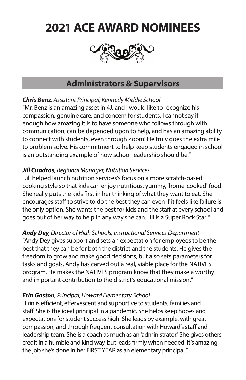## **2021 ACE AWARD NOMINEES**



#### **Administrators & Supervisors**

*Chris Benz, Assistant Principal, Kennedy Middle School*

"Mr. Benz is an amazing asset in 4J, and I would like to recognize his compassion, genuine care, and concern for students. I cannot say it enough how amazing it is to have someone who follows through with communication, can be depended upon to help, and has an amazing ability to connect with students, even through Zoom! He truly goes the extra mile to problem solve. His commitment to help keep students engaged in school is an outstanding example of how school leadership should be."

#### *Jill Cuadros, Regional Manager, Nutrition Services*

"Jill helped launch nutrition services's focus on a more scratch-based cooking style so that kids can enjoy nutritious, yummy, 'home-cooked' food. She really puts the kids first in her thinking of what they want to eat. She encourages staff to strive to do the best they can even if it feels like failure is the only option. She wants the best for kids and the staff at every school and goes out of her way to help in any way she can. Jill is a Super Rock Star!"

*Andy Dey, Director of High Schools, Instructional Services Department* "Andy Dey gives support and sets an expectation for employees to be the best that they can be for both the district and the students. He gives the freedom to grow and make good decisions, but also sets parameters for tasks and goals. Andy has carved out a real, viable place for the NATIVES program. He makes the NATIVES program know that they make a worthy and important contribution to the district's educational mission."

#### *Erin Gaston, Principal, Howard Elementary School*

"Erin is efficient, effervescent and supportive to students, families and staff. She is the ideal principal in a pandemic. She helps keep hopes and expectations for student success high. She leads by example, with great compassion, and through frequent consultation with Howard's staff and leadership team. She is a coach as much as an 'administrator.' She gives others credit in a humble and kind way, but leads firmly when needed. It's amazing the job she's done in her FIRST YEAR as an elementary principal."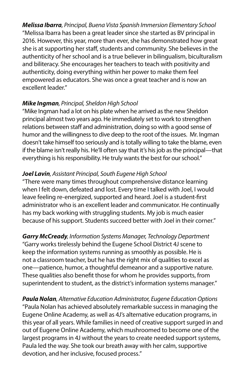*Melissa Ibarra, Principal, Buena Vista Spanish Immersion Elementary School* "Melissa Ibarra has been a great leader since she started as BV principal in 2016. However, this year, more than ever, she has demonstrated how great she is at supporting her staff, students and community. She believes in the authenticity of her school and is a true believer in bilingualism, biculturalism and biliteracy. She encourages her teachers to teach with positivity and authenticity, doing everything within her power to make them feel empowered as educators. She was once a great teacher and is now an excellent leader."

#### *Mike Ingman, Principal, Sheldon High School*

"Mike Ingman had a lot on his plate when he arrived as the new Sheldon principal almost two years ago. He immediately set to work to strengthen relations between staff and administration, doing so with a good sense of humor and the willingness to dive deep to the root of the issues. Mr. Ingman doesn't take himself too seriously and is totally willing to take the blame, even if the blame isn't really his. He'll often say that it's his job as the principal—that everything is his responsibility. He truly wants the best for our school."

#### *Joel Lavin, Assistant Principal, South Eugene High School*

"There were many times throughout comprehensive distance learning when I felt down, defeated and lost. Every time I talked with Joel, I would leave feeling re-energized, supported and heard. Joel is a student-first administrator who is an excellent leader and communicator. He continually has my back working with struggling students. My job is much easier because of his support. Students succeed better with Joel in their corner."

*Garry McCready, Information Systems Manager, Technology Department* "Garry works tirelessly behind the Eugene School District 4J scene to keep the information systems running as smoothly as possible. He is not a classroom teacher, but he has the right mix of qualities to excel as one—patience, humor, a thoughtful demeanor and a supportive nature. These qualities also benefit those for whom he provides supports, from superintendent to student, as the district's information systems manager."

*Paula Nolan, Alternative Education Administrator, Eugene Education Options* "Paula Nolan has achieved absolutely remarkable success in managing the Eugene Online Academy, as well as 4J's alternative education programs, in this year of all years. While families in need of creative support surged in and out of Eugene Online Academy, which mushroomed to become one of the largest programs in 4J without the years to create needed support systems, Paula led the way. She took our breath away with her calm, supportive devotion, and her inclusive, focused process."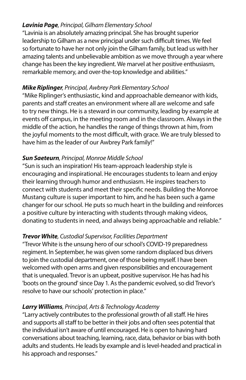#### *Lavinia Page, Principal, Gilham Elementary School*

"Lavinia is an absolutely amazing principal. She has brought superior leadership to Gilham as a new principal under such difficult times. We feel so fortunate to have her not only join the Gilham family, but lead us with her amazing talents and unbelievable ambition as we move through a year where change has been the key ingredient. We marvel at her positive enthusiasm, remarkable memory, and over-the-top knowledge and abilities."

#### *Mike Riplinger, Principal, Awbrey Park Elementary School*

"Mike Riplinger's enthusiastic, kind and approachable demeanor with kids, parents and staff creates an environment where all are welcome and safe to try new things. He is a steward in our community, leading by example at events off campus, in the meeting room and in the classroom. Always in the middle of the action, he handles the range of things thrown at him, from the joyful moments to the most difficult, with grace. We are truly blessed to have him as the leader of our Awbrey Park family!"

#### *Sun Saeteurn, Principal, Monroe Middle School*

"Sun is such an inspiration! His team-approach leadership style is encouraging and inspirational. He encourages students to learn and enjoy their learning through humor and enthusiasm. He inspires teachers to connect with students and meet their specific needs. Building the Monroe Mustang culture is super important to him, and he has been such a game changer for our school. He puts so much heart in the building and reinforces a positive culture by interacting with students through making videos, donating to students in need, and always being approachable and reliable."

#### *Trevor White, Custodial Supervisor, Facilities Department*

"Trevor White is the unsung hero of our school's COVID-19 preparedness regiment. In September, he was given some random displaced bus drivers to join the custodial department, one of those being myself. I have been welcomed with open arms and given responsibilities and encouragement that is unequaled. Trevor is an upbeat, positive supervisor. He has had his 'boots on the ground' since Day 1. As the pandemic evolved, so did Trevor's resolve to have our schools' protection in place."

#### *Larry Williams, Principal, Arts & Technology Academy*

"Larry actively contributes to the professional growth of all staff. He hires and supports all staff to be better in their jobs and often sees potential that the individual isn't aware of until encouraged. He is open to having hard conversations about teaching, learning, race, data, behavior or bias with both adults and students. He leads by example and is level-headed and practical in his approach and responses."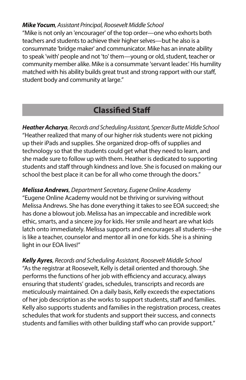#### *Mike Yocum, Assistant Principal, Roosevelt Middle School*

"Mike is not only an 'encourager' of the top order—one who exhorts both teachers and students to achieve their higher selves—but he also is a consummate 'bridge maker' and communicator. Mike has an innate ability to speak 'with' people and not 'to' them—young or old, student, teacher or community member alike. Mike is a consummate 'servant leader.' His humility matched with his ability builds great trust and strong rapport with our staff, student body and community at large."

#### **Classified Staff**

*Heather Acharya, Records and Scheduling Assistant, Spencer Butte Middle School* "Heather realized that many of our higher risk students were not picking up their iPads and supplies. She organized drop-offs of supplies and technology so that the students could get what they need to learn, and she made sure to follow up with them. Heather is dedicated to supporting students and staff through kindness and love. She is focused on making our school the best place it can be for all who come through the doors."

*Melissa Andrews, Department Secretary, Eugene Online Academy* "Eugene Online Academy would not be thriving or surviving without Melissa Andrews. She has done everything it takes to see EOA succeed; she has done a blowout job. Melissa has an impeccable and incredible work ethic, smarts, and a sincere joy for kids. Her smile and heart are what kids latch onto immediately. Melissa supports and encourages all students—she is like a teacher, counselor and mentor all in one for kids. She is a shining light in our EOA lives!"

*Kelly Ayres, Records and Scheduling Assistant, Roosevelt Middle School* "As the registrar at Roosevelt, Kelly is detail oriented and thorough. She performs the functions of her job with efficiency and accuracy, always ensuring that students' grades, schedules, transcripts and records are meticulously maintained. On a daily basis, Kelly exceeds the expectations of her job description as she works to support students, staff and families. Kelly also supports students and families in the registration process, creates schedules that work for students and support their success, and connects students and families with other building staff who can provide support."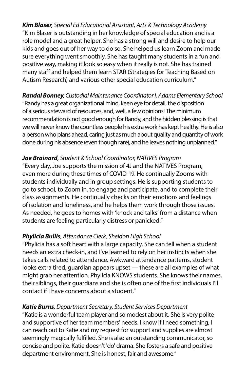*Kim Blaser, Special Ed Educational Assistant, Arts & Technology Academy* "Kim Blaser is outstanding in her knowledge of special education and is a role model and a great helper. She has a strong will and desire to help our kids and goes out of her way to do so. She helped us learn Zoom and made sure everything went smoothly. She has taught many students in a fun and positive way, making it look so easy when it really is not. She has trained many staff and helped them learn STAR (Strategies for Teaching Based on Autism Research) and various other special education curriculum."

*Randal Bonney, Custodial Maintenance Coordinator I, Adams Elementary School* "Randy has a great organizational mind, keen eye for detail, the disposition of a serious steward of resources, and, well, a few opinions! The minimum recommendation is not good enough for Randy, and the hidden blessing is that we will never know the countless people his extra work has kept healthy. He is also a person who plans ahead, caring just as much about quality and quantity of work done during his absence (even though rare), and he leaves nothing unplanned."

#### *Joe Brainard, Student & School Coordinator, NATIVES Program*

"Every day, Joe supports the mission of 4J and the NATIVES Program, even more during these times of COVID-19. He continually Zooms with students individually and in group settings. He is supporting students to go to school, to Zoom in, to engage and participate, and to complete their class assignments. He continually checks on their emotions and feelings of isolation and loneliness, and he helps them work through those issues. As needed, he goes to homes with 'knock and talks' from a distance when students are feeling particularly distress or panicked."

#### *Phylicia Bullis, Attendance Clerk, Sheldon High School*

"Phylicia has a soft heart with a large capacity. She can tell when a student needs an extra check-in, and I've learned to rely on her instincts when she takes calls related to attendance. Awkward attendance patterns, student looks extra tired, guardian appears upset — these are all examples of what might grab her attention. Phylicia KNOWS students. She knows their names, their siblings, their guardians and she is often one of the first individuals I'll contact if I have concerns about a student."

#### *Katie Burns, Department Secretary, Student Services Department*

"Katie is a wonderful team player and so modest about it. She is very polite and supportive of her team members' needs. I know if I need something, I can reach out to Katie and my request for support and supplies are almost seemingly magically fulfilled. She is also an outstanding communicator, so concise and polite. Katie doesn't 'do' drama. She fosters a safe and positive department environment. She is honest, fair and awesome."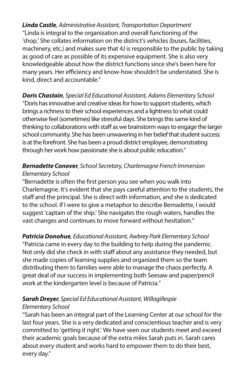*Linda Castle, Administrative Assistant, Transportation Department* "Linda is integral to the organization and overall functioning of the 'shop.' She collates information on the district's vehicles (buses, facilities, machinery, etc.) and makes sure that 4J is responsible to the public by taking as good of care as possible of its expensive equipment. She is also very knowledgeable about how the district functions since she's been here for many years. Her efficiency and know-how shouldn't be understated. She is kind, direct and accountable."

*Doris Chastain, Special Ed Educational Assistant, Adams Elementary School* "Doris has innovative and creative ideas for how to support students, which brings a richness to their school experiences and a lightness to what could otherwise feel (sometimes) like stressful days. She brings this same kind of thinking to collaborations with staff as we brainstorm ways to engage the larger school community. She has been unwavering in her belief that student success is at the forefront. She has been a proud district employee, demonstrating through her work how passionate she is about public education."

#### *Bernadette Conover, School Secretary, Charlemagne French Immersion Elementary School*

"Bernadette is often the first person you see when you walk into Charlemagne. It's evident that she pays careful attention to the students, the staff and the principal. She is direct with information, and she is dedicated to the school. If I were to give a metaphor to describe Bernadette, I would suggest 'captain of the ship.' She navigates the rough waters, handles the vast changes and continues to move forward without hesitation."

*Patricia Donohue, Educational Assistant, Awbrey Park Elementary School* "Patricia came in every day to the building to help during the pandemic. Not only did she check in with staff about any assistance they needed, but she made copies of learning supplies and organized them so the team distributing them to families were able to manage the chaos perfectly. A great deal of our success in implementing both Seesaw and paper/pencil work at the kindergarten level is because of Patricia."

#### *Sarah Dreyer, Special Ed Educational Assistant, Willagillespie Elementary School*

"Sarah has been an integral part of the Learning Center at our school for the last four years. She is a very dedicated and conscientious teacher and is very committed to 'getting it right.' We have seen our students meet and exceed their academic goals because of the extra miles Sarah puts in. Sarah cares about every student and works hard to empower them to do their best, every day."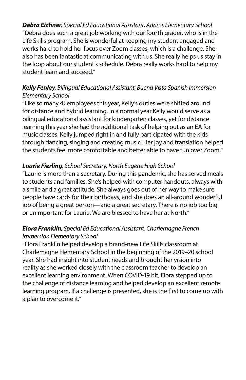*Debra Eichner, Special Ed Educational Assistant, Adams Elementary School* "Debra does such a great job working with our fourth grader, who is in the Life Skills program. She is wonderful at keeping my student engaged and works hard to hold her focus over Zoom classes, which is a challenge. She also has been fantastic at communicating with us. She really helps us stay in the loop about our student's schedule. Debra really works hard to help my student learn and succeed."

#### *Kelly Fenley, Bilingual Educational Assistant, Buena Vista Spanish Immersion Elementary School*

"Like so many 4J employees this year, Kelly's duties were shifted around for distance and hybrid learning. In a normal year Kelly would serve as a bilingual educational assistant for kindergarten classes, yet for distance learning this year she had the additional task of helping out as an EA for music classes. Kelly jumped right in and fully participated with the kids through dancing, singing and creating music. Her joy and translation helped the students feel more comfortable and better able to have fun over Zoom."

#### *Laurie Fierling, School Secretary, North Eugene High School*

"Laurie is more than a secretary. During this pandemic, she has served meals to students and families. She's helped with computer handouts, always with a smile and a great attitude. She always goes out of her way to make sure people have cards for their birthdays, and she does an all-around wonderful job of being a great person—and a great secretary. There is no job too big or unimportant for Laurie. We are blessed to have her at North."

#### *Elora Franklin, Special Ed Educational Assistant, Charlemagne French Immersion Elementary School*

"Elora Franklin helped develop a brand-new Life Skills classroom at Charlemagne Elementary School in the beginning of the 2019–20 school year. She had insight into student needs and brought her vision into reality as she worked closely with the classroom teacher to develop an excellent learning environment. When COVID-19 hit, Elora stepped up to the challenge of distance learning and helped develop an excellent remote learning program. If a challenge is presented, she is the first to come up with a plan to overcome it."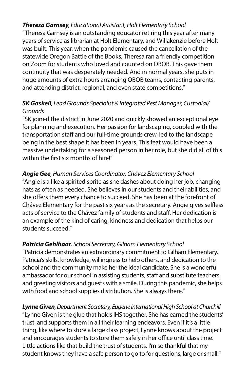#### *Theresa Garnsey, Educational Assistant, Holt Elementary School*

"Theresa Garnsey is an outstanding educator retiring this year after many years of service as librarian at Holt Elementary, and Willakenzie before Holt was built. This year, when the pandemic caused the cancellation of the statewide Oregon Battle of the Books, Theresa ran a friendly competition on Zoom for students who loved and counted on OBOB. This gave them continuity that was desperately needed. And in normal years, she puts in huge amounts of extra hours arranging OBOB teams, contacting parents, and attending district, regional, and even state competitions."

#### *SK Gaskell, Lead Grounds Specialist & Integrated Pest Manager, Custodial/ Grounds*

"SK joined the district in June 2020 and quickly showed an exceptional eye for planning and execution. Her passion for landscaping, coupled with the transportation staff and our full-time grounds crew, led to the landscape being in the best shape it has been in years. This feat would have been a massive undertaking for a seasoned person in her role, but she did all of this within the first six months of hire!"

#### *Angie Gee, Human Services Coordinator, Chávez Elementary School*

"Angie is a like a spirited sprite as she dashes about doing her job, changing hats as often as needed. She believes in our students and their abilities, and she offers them every chance to succeed. She has been at the forefront of Chávez Elementary for the past six years as the secretary. Angie gives selfless acts of service to the Chávez family of students and staff. Her dedication is an example of the kind of caring, kindness and dedication that helps our students succeed."

#### *Patricia Gehlhaar, School Secretary, Gilham Elementary School*

"Patricia demonstrates an extraordinary commitment to Gilham Elementary. Patricia's skills, knowledge, willingness to help others, and dedication to the school and the community make her the ideal candidate. She is a wonderful ambassador for our school in assisting students, staff and substitute teachers, and greeting visitors and guests with a smile. During this pandemic, she helps with food and school supplies distribution. She is always there."

*Lynne Given, Department Secretary, Eugene International High School at Churchill* "Lynne Given is the glue that holds IHS together. She has earned the students' trust, and supports them in all their learning endeavors. Even if it's a little thing, like where to store a large class project, Lynne knows about the project and encourages students to store them safely in her office until class time. Little actions like that build the trust of students. I'm so thankful that my student knows they have a safe person to go to for questions, large or small."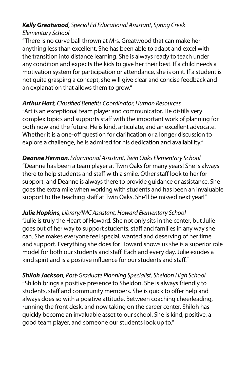#### *Kelly Greatwood, Special Ed Educational Assistant, Spring Creek Elementary School*

"There is no curve ball thrown at Mrs. Greatwood that can make her anything less than excellent. She has been able to adapt and excel with the transition into distance learning. She is always ready to teach under any condition and expects the kids to give her their best. If a child needs a motivation system for participation or attendance, she is on it. If a student is not quite grasping a concept, she will give clear and concise feedback and an explanation that allows them to grow."

#### *Arthur Hart, Classified Benefits Coordinator, Human Resources*

"Art is an exceptional team player and communicator. He distills very complex topics and supports staff with the important work of planning for both now and the future. He is kind, articulate, and an excellent advocate. Whether it is a one-off question for clarification or a longer discussion to explore a challenge, he is admired for his dedication and availability."

*Deanne Herman, Educational Assistant, Twin Oaks Elementary School* "Deanne has been a team player at Twin Oaks for many years! She is always there to help students and staff with a smile. Other staff look to her for support, and Deanne is always there to provide guidance or assistance. She goes the extra mile when working with students and has been an invaluable support to the teaching staff at Twin Oaks. She'll be missed next year!"

#### *Julie Hopkins, Library/IMC Assistant, Howard Elementary School*

"Julie is truly the Heart of Howard. She not only sits in the center, but Julie goes out of her way to support students, staff and families in any way she can. She makes everyone feel special, wanted and deserving of her time and support. Everything she does for Howard shows us she is a superior role model for both our students and staff. Each and every day, Julie exudes a kind spirit and is a positive influence for our students and staff."

*Shiloh Jackson, Post-Graduate Planning Specialist, Sheldon High School*  "Shiloh brings a positive presence to Sheldon. She is always friendly to students, staff and community members. She is quick to offer help and always does so with a positive attitude. Between coaching cheerleading, running the front desk, and now taking on the career center, Shiloh has quickly become an invaluable asset to our school. She is kind, positive, a good team player, and someone our students look up to."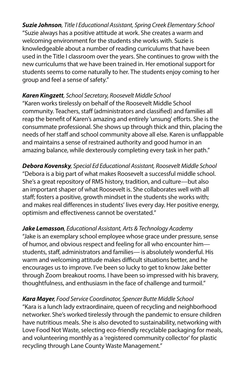*Suzie Johnson, Title I Educational Assistant, Spring Creek Elementary School* "Suzie always has a positive attitude at work. She creates a warm and welcoming environment for the students she works with. Suzie is knowledgeable about a number of reading curriculums that have been used in the Title I classroom over the years. She continues to grow with the new curriculums that we have been trained in. Her emotional support for students seems to come naturally to her. The students enjoy coming to her group and feel a sense of safety."

#### *Karen Kingzett, School Secretary, Roosevelt Middle School*

"Karen works tirelessly on behalf of the Roosevelt Middle School community. Teachers, staff (administrators and classified) and families all reap the benefit of Karen's amazing and entirely 'unsung' efforts. She is the consummate professional. She shows up through thick and thin, placing the needs of her staff and school community above all else. Karen is unflappable and maintains a sense of restrained authority and good humor in an amazing balance, while dexterously completing every task in her path."

*Debora Kovensky, Special Ed Educational Assistant, Roosevelt Middle School* "Debora is a big part of what makes Roosevelt a successful middle school. She's a great repository of RMS history, tradition, and culture—but also an important shaper of what Roosevelt is. She collaborates well with all staff; fosters a positive, growth mindset in the students she works with; and makes real differences in students' lives every day. Her positive energy, optimism and effectiveness cannot be overstated."

*Jake Lemasson, Educational Assistant, Arts & Technology Academy* "Jake is an exemplary school employee whose grace under pressure, sense of humor, and obvious respect and feeling for all who encounter him students, staff, administrators and families— is absolutely wonderful. His warm and welcoming attitude makes difficult situations better, and he encourages us to improve. I've been so lucky to get to know Jake better through Zoom breakout rooms. I have been so impressed with his bravery, thoughtfulness, and enthusiasm in the face of challenge and turmoil."

#### *Kara Mayer, Food Service Coordinator, Spencer Butte Middle School* "Kara is a lunch lady extraordinaire, queen of recycling and neighborhood networker. She's worked tirelessly through the pandemic to ensure children have nutritious meals. She is also devoted to sustainability, networking with Love Food Not Waste, selecting eco-friendly recyclable packaging for meals, and volunteering monthly as a 'registered community collector' for plastic recycling through Lane County Waste Management."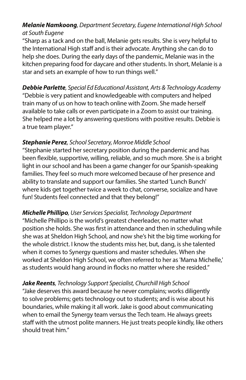#### *Melanie Namkoong, Department Secretary, Eugene International High School at South Eugene*

"Sharp as a tack and on the ball, Melanie gets results. She is very helpful to the International High staff and is their advocate. Anything she can do to help she does. During the early days of the pandemic, Melanie was in the kitchen preparing food for daycare and other students. In short, Melanie is a star and sets an example of how to run things well."

*Debbie Parlette, Special Ed Educational Assistant, Arts & Technology Academy* "Debbie is very patient and knowledgeable with computers and helped train many of us on how to teach online with Zoom. She made herself available to take calls or even participate in a Zoom to assist our training. She helped me a lot by answering questions with positive results. Debbie is a true team player."

#### *Stephanie Perez, School Secretary, Monroe Middle School*

"Stephanie started her secretary position during the pandemic and has been flexible, supportive, willing, reliable, and so much more. She is a bright light in our school and has been a game changer for our Spanish-speaking families. They feel so much more welcomed because of her presence and ability to translate and support our families. She started 'Lunch Bunch' where kids get together twice a week to chat, converse, socialize and have fun! Students feel connected and that they belong!"

*Michelle Phillipo, User Services Specialist, Technology Department* "Michelle Phillipo is the world's greatest cheerleader, no matter what position she holds. She was first in attendance and then in scheduling while she was at Sheldon High School, and now she's hit the big time working for the whole district. I know the students miss her, but, dang, is she talented when it comes to Synergy questions and master schedules. When she worked at Sheldon High School, we often referred to her as 'Mama Michelle,' as students would hang around in flocks no matter where she resided."

#### *Jake Reents, Technology Support Specialist, Churchill High School*

"Jake deserves this award because he never complains; works diligently to solve problems; gets technology out to students; and is wise about his boundaries, while making it all work. Jake is good about communicating when to email the Synergy team versus the Tech team. He always greets staff with the utmost polite manners. He just treats people kindly, like others should treat him."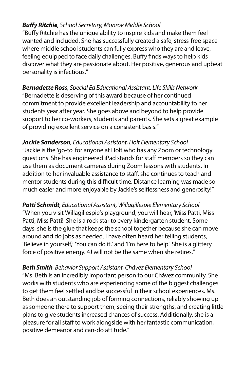#### *Buffy Ritchie, School Secretary, Monroe Middle School*

"Buffy Ritchie has the unique ability to inspire kids and make them feel wanted and included. She has successfully created a safe, stress-free space where middle school students can fully express who they are and leave, feeling equipped to face daily challenges. Buffy finds ways to help kids discover what they are passionate about. Her positive, generous and upbeat personality is infectious."

*Bernadette Ross, Special Ed Educational Assistant, Life Skills Network* "Bernadette is deserving of this award because of her continued commitment to provide excellent leadership and accountability to her students year after year. She goes above and beyond to help provide support to her co-workers, students and parents. She sets a great example of providing excellent service on a consistent basis."

*Jackie Sanderson, Educational Assistant, Holt Elementary School* "Jackie is the 'go-to' for anyone at Holt who has any Zoom or technology questions. She has engineered iPad stands for staff members so they can use them as document cameras during Zoom lessons with students. In addition to her invaluable assistance to staff, she continues to teach and mentor students during this difficult time. Distance learning was made so much easier and more enjoyable by Jackie's selflessness and generosity!"

*Patti Schmidt, Educational Assistant, Willagillespie Elementary School* "When you visit Willagillespie's playground, you will hear, 'Miss Patti, Miss Patti, Miss Patti!' She is a rock star to every kindergarten student. Some days, she is the glue that keeps the school together because she can move around and do jobs as needed. I have often heard her telling students, 'Believe in yourself,' 'You can do it,' and 'I'm here to help.' She is a glittery force of positive energy. 4J will not be the same when she retires."

*Beth Smith, Behavior Support Assistant, Chávez Elementary School* "Ms. Beth is an incredibly important person to our Chávez community. She works with students who are experiencing some of the biggest challenges to get them feel settled and be successful in their school experiences. Ms. Beth does an outstanding job of forming connections, reliably showing up as someone there to support them, seeing their strengths, and creating little plans to give students increased chances of success. Additionally, she is a pleasure for all staff to work alongside with her fantastic communication, positive demeanor and can-do attitude."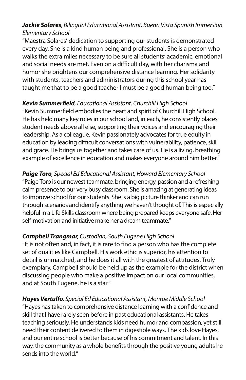#### *Jackie Solares, Bilingual Educational Assistant, Buena Vista Spanish Immersion Elementary School*

"Maestra Solares' dedication to supporting our students is demonstrated every day. She is a kind human being and professional. She is a person who walks the extra miles necessary to be sure all students' academic, emotional and social needs are met. Even on a difficult day, with her charisma and humor she brightens our comprehensive distance learning. Her solidarity with students, teachers and administrators during this school year has taught me that to be a good teacher I must be a good human being too."

#### *Kevin Summerfield, Educational Assistant, Churchill High School*

"Kevin Summerfield embodies the heart and spirit of Churchill High School. He has held many key roles in our school and, in each, he consistently places student needs above all else, supporting their voices and encouraging their leadership. As a colleague, Kevin passionately advocates for true equity in education by leading difficult conversations with vulnerability, patience, skill and grace. He brings us together and takes care of us. He is a living, breathing example of excellence in education and makes everyone around him better."

#### *Paige Toro, Special Ed Educational Assistant, Howard Elementary School* "Paige Toro is our newest teammate, bringing energy, passion and a refreshing calm presence to our very busy classroom. She is amazing at generating ideas to improve school for our students. She is a big picture thinker and can run through scenarios and identify anything we haven't thought of. This is especially helpful in a Life Skills classroom where being prepared keeps everyone safe. Her self-motivation and initiative make her a dream teammate."

#### *Campbell Trangmar, Custodian, South Eugene High School*

"It is not often and, in fact, it is rare to find a person who has the complete set of qualities like Campbell. His work ethic is superior, his attention to detail is unmatched, and he does it all with the greatest of attitudes. Truly exemplary, Campbell should be held up as the example for the district when discussing people who make a positive impact on our local communities, and at South Eugene, he is a star."

*Hayes Vertulfo, Special Ed Educational Assistant, Monroe Middle School* "Hayes has taken to comprehensive distance learning with a confidence and skill that I have rarely seen before in past educational assistants. He takes teaching seriously. He understands kids need humor and compassion, yet still need their content delivered to them in digestible ways. The kids love Hayes, and our entire school is better because of his commitment and talent. In this way, the community as a whole benefits through the positive young adults he sends into the world."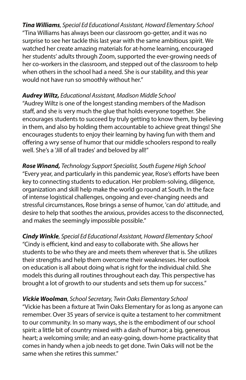*Tina Williams, Special Ed Educational Assistant, Howard Elementary School* "Tina Williams has always been our classroom go-getter, and it was no surprise to see her tackle this last year with the same ambitious spirit. We watched her create amazing materials for at-home learning, encouraged her students' adults through Zoom, supported the ever-growing needs of her co-workers in the classroom, and stepped out of the classroom to help when others in the school had a need. She is our stability, and this year would not have run so smoothly without her."

#### *Audrey Wiltz, Educational Assistant, Madison Middle School*

"Audrey Wiltz is one of the longest standing members of the Madison staff, and she is very much the glue that holds everyone together. She encourages students to succeed by truly getting to know them, by believing in them, and also by holding them accountable to achieve great things! She encourages students to enjoy their learning by having fun with them and offering a wry sense of humor that our middle schoolers respond to really well. She's a 'Jill of all trades' and beloved by all!"

*Rose Winand, Technology Support Specialist, South Eugene High School* "Every year, and particularly in this pandemic year, Rose's efforts have been key to connecting students to education. Her problem-solving, diligence, organization and skill help make the world go round at South. In the face of intense logistical challenges, ongoing and ever-changing needs and stressful circumstances, Rose brings a sense of humor, 'can do' attitude, and desire to help that soothes the anxious, provides access to the disconnected, and makes the seemingly impossible possible."

*Cindy Winkle, Special Ed Educational Assistant, Howard Elementary School* "Cindy is efficient, kind and easy to collaborate with. She allows her students to be who they are and meets them wherever that is. She utilizes their strengths and help them overcome their weaknesses. Her outlook on education is all about doing what is right for the individual child. She models this during all routines throughout each day. This perspective has brought a lot of growth to our students and sets them up for success."

#### *Vickie Woolman, School Secretary, Twin Oaks Elementary School*

"Vickie has been a fixture at Twin Oaks Elementary for as long as anyone can remember. Over 35 years of service is quite a testament to her commitment to our community. In so many ways, she is the embodiment of our school spirit: a little bit of country mixed with a dash of humor; a big, generous heart; a welcoming smile; and an easy-going, down-home practicality that comes in handy when a job needs to get done. Twin Oaks will not be the same when she retires this summer."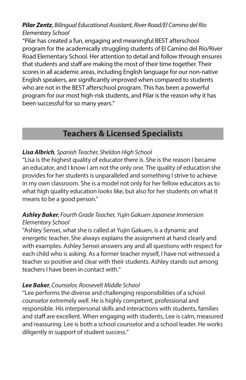#### *Pilar Zentz, Bilingual Educational Assistant, River Road/El Camino del Río Elementary School*

"Pilar has created a fun, engaging and meaningful BEST afterschool program for the academically struggling students of El Camino del Río/River Road Elementary School. Her attention to detail and follow through ensures that students and staff are making the most of their time together. Their scores in all academic areas, including English language for our non-native English speakers, are significantly improved when compared to students who are not in the BEST afterschool program. This has been a powerful program for our most high-risk students, and Pilar is the reason why it has been successful for so many years."

#### **Teachers & Licensed Specialists**

#### *Lisa Albrich, Spanish Teacher, Sheldon High School*

"Lisa is the highest quality of educator there is. She is the reason I became an educator, and I know I am not the only one. The quality of education she provides for her students is unparalleled and something I strive to achieve in my own classroom. She is a model not only for her fellow educators as to what high quality education looks like, but also for her students on what it means to be a good person."

#### *Ashley Baker, Fourth Grade Teacher, Yujin Gakuen Japanese Immersion Elementary School*

"Ashley Sensei, what she is called at Yujin Gakuen, is a dynamic and energetic teacher. She always explains the assignment at hand clearly and with examples. Ashley Sensei answers any and all questions with respect for each child who is asking. As a former teacher myself, I have not witnessed a teacher so positive and clear with their students. Ashley stands out among teachers I have been in contact with."

#### *Lee Baker, Counselor, Roosevelt Middle School*

"Lee performs the diverse and challenging responsibilities of a school counselor extremely well. He is highly competent, professional and responsible. His interpersonal skills and interactions with students, families and staff are excellent. When engaging with students, Lee is calm, measured and reassuring. Lee is both a school counselor and a school leader. He works diligently in support of student success."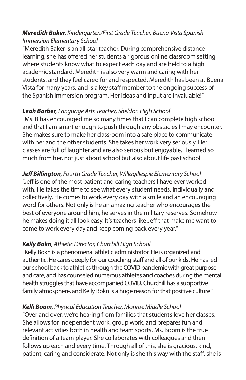#### *Meredith Baker, Kindergarten/First Grade Teacher, Buena Vista Spanish Immersion Elementary School*

"Meredith Baker is an all-star teacher. During comprehensive distance learning, she has offered her students a rigorous online classroom setting where students know what to expect each day and are held to a high academic standard. Meredith is also very warm and caring with her students, and they feel cared for and respected. Meredith has been at Buena Vista for many years, and is a key staff member to the ongoing success of the Spanish immersion program. Her ideas and input are invaluable!"

#### *Leah Barber, Language Arts Teacher, Sheldon High School*

"Ms. B has encouraged me so many times that I can complete high school and that I am smart enough to push through any obstacles I may encounter. She makes sure to make her classroom into a safe place to communicate with her and the other students. She takes her work very seriously. Her classes are full of laughter and are also serious but enjoyable. I learned so much from her, not just about school but also about life past school."

#### *Jeff Billington, Fourth Grade Teacher, Willagillespie Elementary School*

"Jeff is one of the most patient and caring teachers I have ever worked with. He takes the time to see what every student needs, individually and collectively. He comes to work every day with a smile and an encouraging word for others. Not only is he an amazing teacher who encourages the best of everyone around him, he serves in the military reserves. Somehow he makes doing it all look easy. It's teachers like Jeff that make me want to come to work every day and keep coming back every year."

#### *Kelly Bokn, Athletic Director, Churchill High School*

"Kelly Bokn is a phenomenal athletic administrator. He is organized and authentic. He cares deeply for our coaching staff and all of our kids. He has led our school back to athletics through the COVID pandemic with great purpose and care, and has counseled numerous athletes and coaches during the mental health struggles that have accompanied COVID. Churchill has a supportive family atmosphere, and Kelly Bokn is a huge reason for that positive culture."

#### *Kelli Boom, Physical Education Teacher, Monroe Middle School*

"Over and over, we're hearing from families that students love her classes. She allows for independent work, group work, and prepares fun and relevant activities both in health and team sports. Ms. Boom is the true definition of a team player. She collaborates with colleagues and then follows up each and every time. Through all of this, she is gracious, kind, patient, caring and considerate. Not only is she this way with the staff, she is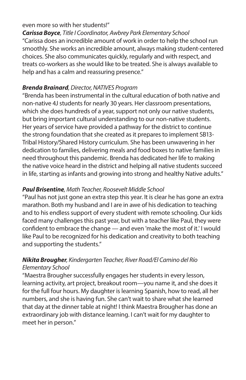#### even more so with her students!"

*Carissa Boyce, Title I Coordinator, Awbrey Park Elementary School* "Carissa does an incredible amount of work in order to help the school run smoothly. She works an incredible amount, always making student-centered choices. She also communicates quickly, regularly and with respect, and treats co-workers as she would like to be treated. She is always available to help and has a calm and reassuring presence."

#### *Brenda Brainard, Director, NATIVES Program*

"Brenda has been instrumental in the cultural education of both native and non-native 4J students for nearly 30 years. Her classroom presentations, which she does hundreds of a year, support not only our native students, but bring important cultural understanding to our non-native students. Her years of service have provided a pathway for the district to continue the strong foundation that she created as it prepares to implement SB13- Tribal History/Shared History curriculum. She has been unwavering in her dedication to families, delivering meals and food boxes to native families in need throughout this pandemic. Brenda has dedicated her life to making the native voice heard in the district and helping all native students succeed in life, starting as infants and growing into strong and healthy Native adults."

#### *Paul Brisentine, Math Teacher, Roosevelt Middle School*

"Paul has not just gone an extra step this year. It is clear he has gone an extra marathon. Both my husband and I are in awe of his dedication to teaching and to his endless support of every student with remote schooling. Our kids faced many challenges this past year, but with a teacher like Paul, they were confident to embrace the change — and even 'make the most of it.' I would like Paul to be recognized for his dedication and creativity to both teaching and supporting the students."

#### *Nikita Brougher, Kindergarten Teacher, River Road/El Camino del Río Elementary School*

"Maestra Brougher successfully engages her students in every lesson, learning activity, art project, breakout room—you name it, and she does it for the full four hours. My daughter is learning Spanish, how to read, all her numbers, and she is having fun. She can't wait to share what she learned that day at the dinner table at night! I think Maestra Brougher has done an extraordinary job with distance learning. I can't wait for my daughter to meet her in person."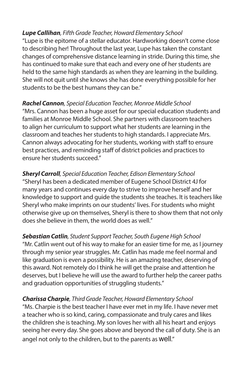#### *Lupe Callihan, Fifth Grade Teacher, Howard Elementary School*

"Lupe is the epitome of a stellar educator. Hardworking doesn't come close to describing her! Throughout the last year, Lupe has taken the constant changes of comprehensive distance learning in stride. During this time, she has continued to make sure that each and every one of her students are held to the same high standards as when they are learning in the building. She will not quit until she knows she has done everything possible for her students to be the best humans they can be."

#### *Rachel Cannon, Special Education Teacher, Monroe Middle School*

"Mrs. Cannon has been a huge asset for our special education students and families at Monroe Middle School. She partners with classroom teachers to align her curriculum to support what her students are learning in the classroom and teaches her students to high standards. I appreciate Mrs. Cannon always advocating for her students, working with staff to ensure best practices, and reminding staff of district policies and practices to ensure her students succeed."

*Sheryl Carroll, Special Education Teacher, Edison Elementary School* "Sheryl has been a dedicated member of Eugene School District 4J for many years and continues every day to strive to improve herself and her knowledge to support and guide the students she teaches. It is teachers like Sheryl who make imprints on our students' lives. For students who might otherwise give up on themselves, Sheryl is there to show them that not only does she believe in them, the world does as well."

*Sebastian Catlin, Student Support Teacher, South Eugene High School* "Mr. Catlin went out of his way to make for an easier time for me, as I journey through my senior year struggles. Mr. Catlin has made me feel normal and like graduation is even a possibility. He is an amazing teacher, deserving of this award. Not remotely do I think he will get the praise and attention he deserves, but I believe he will use the award to further help the career paths and graduation opportunities of struggling students."

#### *Charissa Charpie, Third Grade Teacher, Howard Elementary School*

"Ms. Charpie is the best teacher I have ever met in my life. I have never met a teacher who is so kind, caring, compassionate and truly cares and likes the children she is teaching. My son loves her with all his heart and enjoys seeing her every day. She goes above and beyond the call of duty. She is an angel not only to the children, but to the parents as well."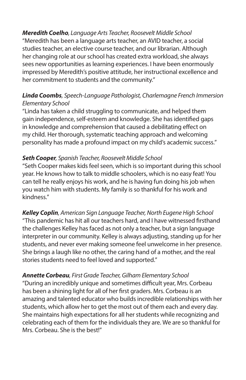*Meredith Coelho, Language Arts Teacher, Roosevelt Middle School* "Meredith has been a language arts teacher, an AVID teacher, a social studies teacher, an elective course teacher, and our librarian. Although her changing role at our school has created extra workload, she always sees new opportunities as learning experiences. I have been enormously impressed by Meredith's positive attitude, her instructional excellence and her commitment to students and the community."

#### *Linda Coombs, Speech-Language Pathologist, Charlemagne French Immersion Elementary School*

"Linda has taken a child struggling to communicate, and helped them gain independence, self-esteem and knowledge. She has identified gaps in knowledge and comprehension that caused a debilitating effect on my child. Her thorough, systematic teaching approach and welcoming personality has made a profound impact on my child's academic success."

#### *Seth Cooper, Spanish Teacher, Roosevelt Middle School*

"Seth Cooper makes kids feel seen, which is so important during this school year. He knows how to talk to middle schoolers, which is no easy feat! You can tell he really enjoys his work, and he is having fun doing his job when you watch him with students. My family is so thankful for his work and kindness."

*Kelley Coplin, American Sign Language Teacher, North Eugene High School* "This pandemic has hit all our teachers hard, and I have witnessed firsthand the challenges Kelley has faced as not only a teacher, but a sign language interpreter in our community. Kelley is always adjusting, standing up for her students, and never ever making someone feel unwelcome in her presence. She brings a laugh like no other, the caring hand of a mother, and the real stories students need to feel loved and supported."

*Annette Corbeau, First Grade Teacher, Gilham Elementary School* "During an incredibly unique and sometimes difficult year, Mrs. Corbeau has been a shining light for all of her first graders. Mrs. Corbeau is an amazing and talented educator who builds incredible relationships with her students, which allow her to get the most out of them each and every day. She maintains high expectations for all her students while recognizing and celebrating each of them for the individuals they are. We are so thankful for Mrs. Corbeau. She is the best!"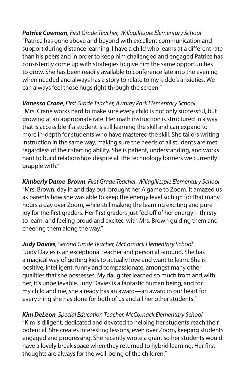*Patrice Cowman, First Grade Teacher, Willagillespie Elementary School* "Patrice has gone above and beyond with excellent communication and support during distance learning. I have a child who learns at a different rate than his peers and in order to keep him challenged and engaged Patrice has consistently come up with strategies to give him the same opportunities to grow. She has been readily available to conference late into the evening when needed and always has a story to relate to my kiddo's anxieties. We can always feel those hugs right through the screen."

*Vanessa Crane, First Grade Teacher, Awbrey Park Elementary School* "Mrs. Crane works hard to make sure every child is not only successful, but growing at an appropriate rate. Her math instruction is structured in a way that is accessible if a student is still learning the skill and can expand to more in-depth for students who have mastered the skill. She tailors writing instruction in the same way, making sure the needs of all students are met, regardless of their starting ability. She is patient, understanding, and works hard to build relationships despite all the technology barriers we currently grapple with."

*Kimberly Dame-Brown, First Grade Teacher, Willagillespie Elementary School* "Mrs. Brown, day in and day out, brought her A game to Zoom. It amazed us as parents how she was able to keep the energy level so high for that many hours a day over Zoom, while still making the learning exciting and pure joy for the first graders. Her first graders just fed off of her energy—thirsty to learn, and feeling proud and excited with Mrs. Brown guiding them and cheering them along the way."

*Judy Davies, Second Grade Teacher, McCornack Elementary School* "Judy Davies is an exceptional teacher and person all-around. She has a magical way of getting kids to actually love and want to learn. She is positive, intelligent, funny and compassionate, amongst many other qualities that she possesses. My daughter learned so much from and with her; it's unbelievable. Judy Davies is a fantastic human being, and for my child and me, she already has an award—an award in our heart for everything she has done for both of us and all her other students."

*Kim DeLeon, Special Education Teacher, McCornack Elementary School* "Kim is diligent, dedicated and devoted to helping her students reach their potential. She creates interesting lessons, even over Zoom, keeping students engaged and progressing. She recently wrote a grant so her students would have a lovely break space when they returned to hybrid learning. Her first thoughts are always for the well-being of the children."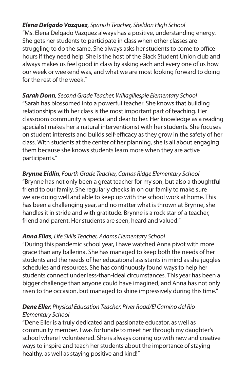*Elena Delgado Vazquez, Spanish Teacher, Sheldon High School* "Ms. Elena Delgado Vazquez always has a positive, understanding energy. She gets her students to participate in class when other classes are struggling to do the same. She always asks her students to come to office hours if they need help. She is the host of the Black Student Union club and always makes us feel good in class by asking each and every one of us how our week or weekend was, and what we are most looking forward to doing for the rest of the week."

*Sarah Donn, Second Grade Teacher, Willagillespie Elementary School* "Sarah has blossomed into a powerful teacher. She knows that building relationships with her class is the most important part of teaching. Her classroom community is special and dear to her. Her knowledge as a reading specialist makes her a natural interventionist with her students. She focuses on student interests and builds self-efficacy as they grow in the safety of her class. With students at the center of her planning, she is all about engaging them because she knows students learn more when they are active participants."

*Brynne Eidlin, Fourth Grade Teacher, Camas Ridge Elementary School*  "Brynne has not only been a great teacher for my son, but also a thoughtful friend to our family. She regularly checks in on our family to make sure we are doing well and able to keep up with the school work at home. This has been a challenging year, and no matter what is thrown at Brynne, she handles it in stride and with gratitude. Brynne is a rock star of a teacher, friend and parent. Her students are seen, heard and valued."

#### *Anna Elias, Life Skills Teacher, Adams Elementary School*

"During this pandemic school year, I have watched Anna pivot with more grace than any ballerina. She has managed to keep both the needs of her students and the needs of her educational assistants in mind as she juggles schedules and resources. She has continuously found ways to help her students connect under less-than-ideal circumstances. This year has been a bigger challenge than anyone could have imagined, and Anna has not only risen to the occasion, but managed to shine impressively during this time."

#### *Dene Eller, Physical Education Teacher, River Road/El Camino del Río Elementary School*

"Dene Eller is a truly dedicated and passionate educator, as well as community member. I was fortunate to meet her through my daughter's school where I volunteered. She is always coming up with new and creative ways to inspire and teach her students about the importance of staying healthy, as well as staying positive and kind!"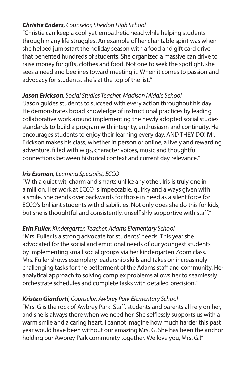#### *Christie Enders, Counselor, Sheldon High School*

"Christie can keep a cool-yet-empathetic head while helping students through many life struggles. An example of her charitable spirit was when she helped jumpstart the holiday season with a food and gift card drive that benefited hundreds of students. She organized a massive can drive to raise money for gifts, clothes and food. Not one to seek the spotlight, she sees a need and beelines toward meeting it. When it comes to passion and advocacy for students, she's at the top of the list."

#### *Jason Erickson, Social Studies Teacher, Madison Middle School*

"Jason guides students to succeed with every action throughout his day. He demonstrates broad knowledge of instructional practices by leading collaborative work around implementing the newly adopted social studies standards to build a program with integrity, enthusiasm and continuity. He encourages students to enjoy their learning every day, AND THEY DO! Mr. Erickson makes his class, whether in person or online, a lively and rewarding adventure, filled with wigs, character voices, music and thoughtful connections between historical context and current day relevance."

#### *Iris Essman, Learning Specialist, ECCO*

"With a quiet wit, charm and smarts unlike any other, Iris is truly one in a million. Her work at ECCO is impeccable, quirky and always given with a smile. She bends over backwards for those in need as a silent force for ECCO's brilliant students with disabilities. Not only does she do this for kids, but she is thoughtful and consistently, unselfishly supportive with staff."

#### *Erin Fuller, Kindergarten Teacher, Adams Elementary School*

"Mrs. Fuller is a strong advocate for students' needs. This year she advocated for the social and emotional needs of our youngest students by implementing small social groups via her kindergarten Zoom class. Mrs. Fuller shows exemplary leadership skills and takes on increasingly challenging tasks for the betterment of the Adams staff and community. Her analytical approach to solving complex problems allows her to seamlessly orchestrate schedules and complete tasks with detailed precision."

#### *Kristen Gianforti, Counselor, Awbrey Park Elementary School*

"Mrs. G is the rock of Awbrey Park. Staff, students and parents all rely on her, and she is always there when we need her. She selflessly supports us with a warm smile and a caring heart. I cannot imagine how much harder this past year would have been without our amazing Mrs. G. She has been the anchor holding our Awbrey Park community together. We love you, Mrs. G.!"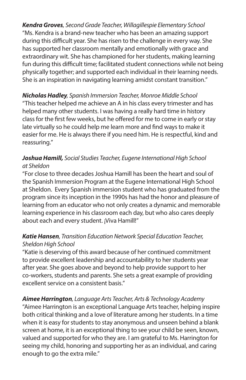*Kendra Groves, Second Grade Teacher, Willagillespie Elementary School* "Ms. Kendra is a brand-new teacher who has been an amazing support during this difficult year. She has risen to the challenge in every way. She has supported her classroom mentally and emotionally with grace and extraordinary wit. She has championed for her students, making learning fun during this difficult time; facilitated student connections while not being physically together; and supported each individual in their learning needs. She is an inspiration in navigating learning amidst constant transition."

#### *Nicholas Hadley, Spanish Immersion Teacher, Monroe Middle School* "This teacher helped me achieve an A in his class every trimester and has helped many other students. I was having a really hard time in history class for the first few weeks, but he offered for me to come in early or stay late virtually so he could help me learn more and find ways to make it easier for me. He is always there if you need him. He is respectful, kind and reassuring."

#### *Joshua Hamill, Social Studies Teacher, Eugene International High School at Sheldon*

"For close to three decades Joshua Hamill has been the heart and soul of the Spanish Immersion Program at the Eugene International High School at Sheldon. Every Spanish immersion student who has graduated from the program since its inception in the 1990s has had the honor and pleasure of learning from an educator who not only creates a dynamic and memorable learning experience in his classroom each day, but who also cares deeply about each and every student. ¡Viva Hamill!"

#### *Katie Hansen, Transition Education Network Special Education Teacher, Sheldon High School*

"Katie is deserving of this award because of her continued commitment to provide excellent leadership and accountability to her students year after year. She goes above and beyond to help provide support to her co-workers, students and parents. She sets a great example of providing excellent service on a consistent basis."

#### *Aimee Harrington, Language Arts Teacher, Arts & Technology Academy*

"Aimee Harrington is an exceptional Language Arts teacher, helping inspire both critical thinking and a love of literature among her students. In a time when it is easy for students to stay anonymous and unseen behind a blank screen at home, it is an exceptional thing to see your child be seen, known, valued and supported for who they are. I am grateful to Ms. Harrington for seeing my child, honoring and supporting her as an individual, and caring enough to go the extra mile."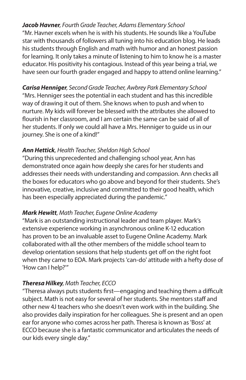*Jacob Havner, Fourth Grade Teacher, Adams Elementary School* "Mr. Havner excels when he is with his students. He sounds like a YouTube star with thousands of followers all tuning into his education blog. He leads his students through English and math with humor and an honest passion for learning. It only takes a minute of listening to him to know he is a master educator. His positivity his contagious. Instead of this year being a trial, we have seen our fourth grader engaged and happy to attend online learning."

*Carisa Henniger, Second Grade Teacher, Awbrey Park Elementary School* "Mrs. Henniger sees the potential in each student and has this incredible way of drawing it out of them. She knows when to push and when to nurture. My kids will forever be blessed with the attributes she allowed to flourish in her classroom, and I am certain the same can be said of all of her students. If only we could all have a Mrs. Henniger to guide us in our journey. She is one of a kind!"

#### *Ann Hettick, Health Teacher, Sheldon High School*

"During this unprecedented and challenging school year, Ann has demonstrated once again how deeply she cares for her students and addresses their needs with understanding and compassion. Ann checks all the boxes for educators who go above and beyond for their students. She's innovative, creative, inclusive and committed to their good health, which has been especially appreciated during the pandemic."

#### *Mark Hewitt, Math Teacher, Eugene Online Academy*

"Mark is an outstanding instructional leader and team player. Mark's extensive experience working in asynchronous online K-12 education has proven to be an invaluable asset to Eugene Online Academy. Mark collaborated with all the other members of the middle school team to develop orientation sessions that help students get off on the right foot when they came to EOA. Mark projects 'can-do' attitude with a hefty dose of 'How can I help?'"

#### *Theresa Hilkey, Math Teacher, ECCO*

"Theresa always puts students first—engaging and teaching them a difficult subject. Math is not easy for several of her students. She mentors staff and other new 4J teachers who she doesn't even work with in the building. She also provides daily inspiration for her colleagues. She is present and an open ear for anyone who comes across her path. Theresa is known as 'Boss' at ECCO because she is a fantastic communicator and articulates the needs of our kids every single day."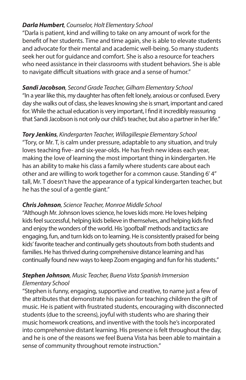#### *Darla Humbert, Counselor, Holt Elementary School*

"Darla is patient, kind and willing to take on any amount of work for the benefit of her students. Time and time again, she is able to elevate students and advocate for their mental and academic well-being. So many students seek her out for guidance and comfort. She is also a resource for teachers who need assistance in their classrooms with student behaviors. She is able to navigate difficult situations with grace and a sense of humor."

#### *Sandi Jacobson, Second Grade Teacher, Gilham Elementary School*

"In a year like this, my daughter has often felt lonely, anxious or confused. Every day she walks out of class, she leaves knowing she is smart, important and cared for. While the actual education is very important, I find it incredibly reassuring that Sandi Jacobson is not only our child's teacher, but also a partner in her life."

#### *Tory Jenkins, Kindergarten Teacher, Willagillespie Elementary School*

"Tory, or Mr. T, is calm under pressure, adaptable to any situation, and truly loves teaching five- and six-year-olds. He has fresh new ideas each year, making the love of learning the most important thing in kindergarten. He has an ability to make his class a family where students care about each other and are willing to work together for a common cause. Standing 6' 4" tall, Mr. T doesn't have the appearance of a typical kindergarten teacher, but he has the soul of a gentle giant."

#### *Chris Johnson, Science Teacher, Monroe Middle School*

"Although Mr. Johnson loves science, he loves kids more. He loves helping kids feel successful, helping kids believe in themselves, and helping kids find and enjoy the wonders of the world. His 'goofball' methods and tactics are engaging, fun, and turn kids on to learning. He is consistently praised for being kids' favorite teacher and continually gets shoutouts from both students and families. He has thrived during comprehensive distance learning and has continually found new ways to keep Zoom engaging and fun for his students."

#### *Stephen Johnson, Music Teacher, Buena Vista Spanish Immersion Elementary School*

"Stephen is funny, engaging, supportive and creative, to name just a few of the attributes that demonstrate his passion for teaching children the gift of music. He is patient with frustrated students, encouraging with disconnected students (due to the screens), joyful with students who are sharing their music homework creations, and inventive with the tools he's incorporated into comprehensive distant learning. His presence is felt throughout the day, and he is one of the reasons we feel Buena Vista has been able to maintain a sense of community throughout remote instruction."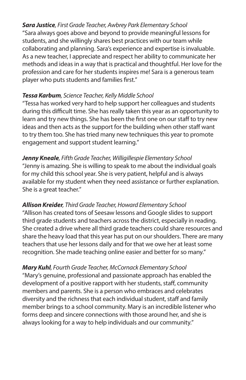*Sara Justice, First Grade Teacher, Awbrey Park Elementary School* "Sara always goes above and beyond to provide meaningful lessons for students, and she willingly shares best practices with our team while collaborating and planning. Sara's experience and expertise is invaluable. As a new teacher, I appreciate and respect her ability to communicate her methods and ideas in a way that is practical and thoughtful. Her love for the profession and care for her students inspires me! Sara is a generous team player who puts students and families first."

#### *Tessa Karbum, Science Teacher, Kelly Middle School*

"Tessa has worked very hard to help support her colleagues and students during this difficult time. She has really taken this year as an opportunity to learn and try new things. She has been the first one on our staff to try new ideas and then acts as the support for the building when other staff want to try them too. She has tried many new techniques this year to promote engagement and support student learning."

#### *Jenny Kneale, Fifth Grade Teacher, Willigillespie Elementary School* "Jenny is amazing. She is willing to speak to me about the individual goals for my child this school year. She is very patient, helpful and is always available for my student when they need assistance or further explanation. She is a great teacher."

#### *Allison Kreider, Third Grade Teacher, Howard Elementary School*

"Allison has created tons of Seesaw lessons and Google slides to support third grade students and teachers across the district, especially in reading. She created a drive where all third grade teachers could share resources and share the heavy load that this year has put on our shoulders. There are many teachers that use her lessons daily and for that we owe her at least some recognition. She made teaching online easier and better for so many."

*Mary Kuhl, Fourth Grade Teacher, McCornack Elementary School* "Mary's genuine, professional and passionate approach has enabled the development of a positive rapport with her students, staff, community members and parents. She is a person who embraces and celebrates diversity and the richness that each individual student, staff and family member brings to a school community. Mary is an incredible listener who forms deep and sincere connections with those around her, and she is always looking for a way to help individuals and our community."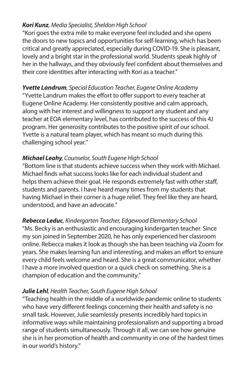#### *Kori Kunz, Media Specialist, Sheldon High School*

"Kori goes the extra mile to make everyone feel included and she opens the doors to new topics and opportunities for self-learning, which has been critical and greatly appreciated, especially during COVID-19. She is pleasant, lovely and a bright star in the professional world. Students speak highly of her in the hallways, and they obviously feel confident about themselves and their core identities after interacting with Kori as a teacher."

#### *Yvette Landrum, Special Education Teacher, Eugene Online Academy*

"Yvette Landrum makes the effort to offer support to every teacher at Eugene Online Academy. Her consistently positive and calm approach, along with her interest and willingness to support any student and any teacher at EOA elementary level, has contributed to the success of this 4J program. Her generosity contributes to the positive spirit of our school. Yvette is a natural team player, which has meant so much during this challenging school year."

#### *Michael Leahy, Counselor, South Eugene High School*

"Bottom line is that students achieve success when they work with Michael. Michael finds what success looks like for each individual student and helps them achieve their goal. He responds extremely fast with other staff, students and parents. I have heard many times from my students that having Michael in their corner is a huge relief. They feel like they are heard, understood, and have an advocate."

#### *Rebecca Leduc, Kindergarten Teacher, Edgewood Elementary School*

"Ms. Becky is an enthusiastic and encouraging kindergarten teacher. Since my son joined in September 2020, he has only experienced her classroom online. Rebecca makes it look as though she has been teaching via Zoom for years. She makes learning fun and interesting, and makes an effort to ensure every child feels welcome and heard. She is a great communicator, whether I have a more involved question or a quick check on something. She is a champion of education and the community."

#### *Julie Lehl, Health Teacher, South Eugene High School*

"Teaching health in the middle of a worldwide pandemic online to students who have very different feelings concerning their health and safety is no small task. However, Julie seamlessly presents incredibly hard topics in informative ways while maintaining professionalism and supporting a broad range of students simultaneously. Through it all, we can see how genuine she is in her promotion of health and community in one of the hardest times in our world's history."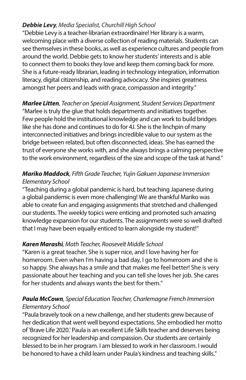#### *Debbie Levy, Media Specialist, Churchill High School*

"Debbie Levy is a teacher-librarian extraordinaire! Her library is a warm, welcoming place with a diverse collection of reading materials. Students can see themselves in these books, as well as experience cultures and people from around the world. Debbie gets to know her students' interests and is able to connect them to books they love and keep them coming back for more. She is a future-ready librarian, leading in technology integration, information literacy, digital citizenship, and reading advocacy. She inspires greatness amongst her peers and leads with grace, compassion and integrity."

#### *Marlee Litten, Teacher on Special Assignment, Student Services Department* "Marlee is truly the glue that holds departments and initiatives together. Few people hold the institutional knowledge and can work to build bridges like she has done and continues to do for 4J. She is the linchpin of many interconnected initiatives and brings incredible value to our system as the bridge between related, but often disconnected, ideas. She has earned the trust of everyone she works with, and she always brings a calming perspective to the work environment, regardless of the size and scope of the task at hand."

#### *Mariko Maddock, Fifth Grade Teacher, Yujin Gakuen Japanese Immersion Elementary School*

"Teaching during a global pandemic is hard, but teaching Japanese during a global pandemic is even more challenging! We are thankful Mariko was able to create fun and engaging assignments that stretched and challenged our students. The weekly topics were enticing and promoted such amazing knowledge expansion for our students. The assignments were so well drafted that I may have been equally enticed to learn alongside my student!"

#### *Karen Marashi, Math Teacher, Roosevelt Middle School*

"Karen is a great teacher. She is super nice, and I love having her for homeroom. Even when I'm having a bad day, I go to homeroom and she is so happy. She always has a smile and that makes me feel better! She is very passionate about her teaching and you can tell she loves her job. She cares for her students and always wants the best for them."

#### *Paula McCown, Special Education Teacher, Charlemagne French Immersion Elementary School*

"Paula bravely took on a new challenge, and her students grew because of her dedication that went well beyond expectations. She embodied her motto of 'Brave Life 2020.' Paula is an excellent Life Skills teacher and deserves being recognized for her leadership and compassion. Our students are certainly blessed to be in her program. I am blessed to work in her classroom. I would be honored to have a child learn under Paula's kindness and teaching skills."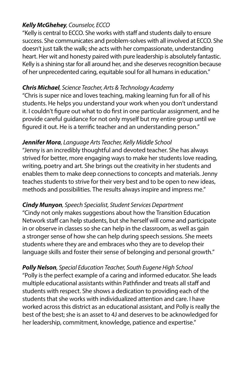#### *Kelly McGhehey, Counselor, ECCO*

"Kelly is central to ECCO. She works with staff and students daily to ensure success. She communicates and problem-solves with all involved at ECCO. She doesn't just talk the walk; she acts with her compassionate, understanding heart. Her wit and honesty paired with pure leadership is absolutely fantastic. Kelly is a shining star for all around her, and she deserves recognition because of her unprecedented caring, equitable soul for all humans in education."

#### *Chris Michael, Science Teacher, Arts & Technology Academy*

"Chris is super nice and loves teaching, making learning fun for all of his students. He helps you understand your work when you don't understand it. I couldn't figure out what to do first in one particular assignment, and he provide careful guidance for not only myself but my entire group until we figured it out. He is a terrific teacher and an understanding person."

#### *Jennifer Mora, Language Arts Teacher, Kelly Middle School*

"Jenny is an incredibly thoughtful and devoted teacher. She has always strived for better, more engaging ways to make her students love reading, writing, poetry and art. She brings out the creativity in her students and enables them to make deep connections to concepts and materials. Jenny teaches students to strive for their very best and to be open to new ideas, methods and possibilities. The results always inspire and impress me."

#### *Cindy Munyon, Speech Specialist, Student Services Department*

"Cindy not only makes suggestions about how the Transition Education Network staff can help students, but she herself will come and participate in or observe in classes so she can help in the classroom, as well as gain a stronger sense of how she can help during speech sessions. She meets students where they are and embraces who they are to develop their language skills and foster their sense of belonging and personal growth."

*Polly Nelson, Special Education Teacher, South Eugene High School* "Polly is the perfect example of a caring and informed educator. She leads multiple educational assistants within Pathfinder and treats all staff and students with respect. She shows a dedication to providing each of the students that she works with individualized attention and care. I have worked across this district as an educational assistant, and Polly is really the best of the best; she is an asset to 4J and deserves to be acknowledged for her leadership, commitment, knowledge, patience and expertise."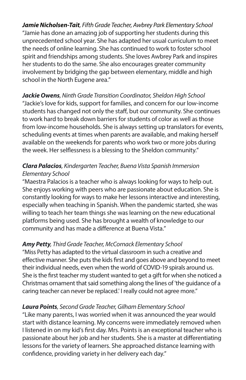*Jamie Nicholsen-Tait, Fifth Grade Teacher, Awbrey Park Elementary School* "Jamie has done an amazing job of supporting her students during this unprecedented school year. She has adapted her usual curriculum to meet the needs of online learning. She has continued to work to foster school spirit and friendships among students. She loves Awbrey Park and inspires her students to do the same. She also encourages greater community involvement by bridging the gap between elementary, middle and high school in the North Eugene area."

#### *Jackie Owens, Ninth Grade Transition Coordinator, Sheldon High School* "Jackie's love for kids, support for families, and concern for our low-income students has changed not only the staff, but our community. She continues to work hard to break down barriers for students of color as well as those from low-income households. She is always setting up translators for events,

scheduling events at times when parents are available, and making herself available on the weekends for parents who work two or more jobs during the week. Her selflessness is a blessing to the Sheldon community."

#### *Clara Palacios, Kindergarten Teacher, Buena Vista Spanish Immersion Elementary School*

"Maestra Palacios is a teacher who is always looking for ways to help out. She enjoys working with peers who are passionate about education. She is constantly looking for ways to make her lessons interactive and interesting, especially when teaching in Spanish. When the pandemic started, she was willing to teach her team things she was learning on the new educational platforms being used. She has brought a wealth of knowledge to our community and has made a difference at Buena Vista."

#### *Amy Petty, Third Grade Teacher, McCornack Elementary School*

"Miss Petty has adapted to the virtual classroom in such a creative and effective manner. She puts the kids first and goes above and beyond to meet their individual needs, even when the world of COVID-19 spirals around us. She is the first teacher my student wanted to get a gift for when she noticed a Christmas ornament that said something along the lines of 'the guidance of a caring teacher can never be replaced.' I really could not agree more."

#### *Laura Points, Second Grade Teacher, Gilham Elementary School*

"Like many parents, I was worried when it was announced the year would start with distance learning. My concerns were immediately removed when I listened in on my kid's first day. Mrs. Points is an exceptional teacher who is passionate about her job and her students. She is a master at differentiating lessons for the variety of learners. She approached distance learning with confidence, providing variety in her delivery each day."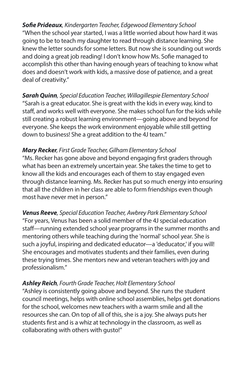*Sofie Prideaux, Kindergarten Teacher, Edgewood Elementary School* "When the school year started, I was a little worried about how hard it was going to be to teach my daughter to read through distance learning. She knew the letter sounds for some letters. But now she is sounding out words and doing a great job reading! I don't know how Ms. Sofie managed to accomplish this other than having enough years of teaching to know what does and doesn't work with kids, a massive dose of patience, and a great deal of creativity."

*Sarah Quinn, Special Education Teacher, Willagillespie Elementary School* "Sarah is a great educator. She is great with the kids in every way, kind to staff, and works well with everyone. She makes school fun for the kids while still creating a robust learning environment—going above and beyond for everyone. She keeps the work environment enjoyable while still getting down to business! She a great addition to the 4J team."

#### *Mary Recker, First Grade Teacher, Gilham Elementary School*

"Ms. Recker has gone above and beyond engaging first graders through what has been an extremely uncertain year. She takes the time to get to know all the kids and encourages each of them to stay engaged even through distance learning. Ms. Recker has put so much energy into ensuring that all the children in her class are able to form friendships even though most have never met in person."

*Venus Reeve, Special Education Teacher, Awbrey Park Elementary School* "For years, Venus has been a solid member of the 4J special education staff—running extended school year programs in the summer months and mentoring others while teaching during the 'normal' school year. She is such a joyful, inspiring and dedicated educator—a 'deducator,' if you will! She encourages and motivates students and their families, even during these trying times. She mentors new and veteran teachers with joy and professionalism."

#### *Ashley Reich, Fourth Grade Teacher, Holt Elementary School*

"Ashley is consistently going above and beyond. She runs the student council meetings, helps with online school assemblies, helps get donations for the school, welcomes new teachers with a warm smile and all the resources she can. On top of all of this, she is a joy. She always puts her students first and is a whiz at technology in the classroom, as well as collaborating with others with gusto!"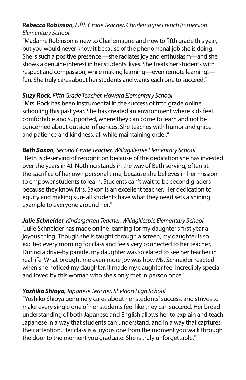#### *Rebecca Robinson, Fifth Grade Teacher, Charlemagne French Immersion Elementary School*

"Madame Robinson is new to Charlemagne and new to fifth grade this year, but you would never know it because of the phenomenal job she is doing. She is such a positive presence —she radiates joy and enthusiasm—and she shows a genuine interest in her students' lives. She treats her students with respect and compassion, while making learning—even remote learning! fun. She truly cares about her students and wants each one to succeed."

#### *Suzy Rock, Fifth Grade Teacher, Howard Elementary School*

"Mrs. Rock has been instrumental in the success of fifth grade online schooling this past year. She has created an environment where kids feel comfortable and supported, where they can come to learn and not be concerned about outside influences. She teaches with humor and grace, and patience and kindness, all while maintaining order."

*Beth Saxon, Second Grade Teacher, Willagillespie Elementary School* "Beth is deserving of recognition because of the dedication she has invested over the years in 4J. Nothing stands in the way of Beth serving, often at the sacrifice of her own personal time, because she believes in her mission to empower students to learn. Students can't wait to be second graders because they know Mrs. Saxon is an excellent teacher. Her dedication to equity and making sure all students have what they need sets a shining example to everyone around her."

*Julie Schneider, Kindergarten Teacher, Willagillespie Elementary School* "Julie Schneider has made online learning for my daughter's first year a joyous thing. Though she is taught through a screen, my daughter is so excited every morning for class and feels very connected to her teacher. During a drive-by parade, my daughter was so elated to see her teacher in real life. What brought me even more joy was how Ms. Schneider reacted when she noticed my daughter. It made my daughter feel incredibly special and loved by this woman who she's only met in person once."

#### *Yoshiko Shioya, Japanese Teacher, Sheldon High School*

"Yoshiko Shioya genuinely cares about her students' success, and strives to make every single one of her students feel like they can succeed. Her broad understanding of both Japanese and English allows her to explain and teach Japanese in a way that students can understand, and in a way that captures their attention. Her class is a joyous one from the moment you walk through the door to the moment you graduate. She is truly unforgettable."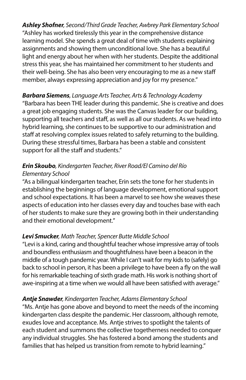*Ashley Shofner, Second/Third Grade Teacher, Awbrey Park Elementary School* "Ashley has worked tirelessly this year in the comprehensive distance learning model. She spends a great deal of time with students explaining assignments and showing them unconditional love. She has a beautiful light and energy about her when with her students. Despite the additional stress this year, she has maintained her commitment to her students and their well-being. She has also been very encouraging to me as a new staff member, always expressing appreciation and joy for my presence."

#### *Barbara Siemens, Language Arts Teacher, Arts & Technology Academy* "Barbara has been THE leader during this pandemic. She is creative and does a great job engaging students. She was the Canvas leader for our building, supporting all teachers and staff, as well as all our students. As we head into hybrid learning, she continues to be supportive to our administration and staff at resolving complex issues related to safely returning to the building. During these stressful times, Barbara has been a stable and consistent support for all the staff and students."

#### *Erin Skoubo, Kindergarten Teacher, River Road/El Camino del Río Elementary School*

"As a bilingual kindergarten teacher, Erin sets the tone for her students in establishing the beginnings of language development, emotional support and school expectations. It has been a marvel to see how she weaves these aspects of education into her classes every day and touches base with each of her students to make sure they are growing both in their understanding and their emotional development."

#### *Levi Smucker, Math Teacher, Spencer Butte Middle School*

"Levi is a kind, caring and thoughtful teacher whose impressive array of tools and boundless enthusiasm and thoughtfulness have been a beacon in the middle of a tough pandemic year. While I can't wait for my kids to (safely) go back to school in person, it has been a privilege to have been a fly on the wall for his remarkable teaching of sixth grade math. His work is nothing short of awe-inspiring at a time when we would all have been satisfied with average."

#### *Antje Snawder, Kindergarten Teacher, Adams Elementary School*

"Ms. Antje has gone above and beyond to meet the needs of the incoming kindergarten class despite the pandemic. Her classroom, although remote, exudes love and acceptance. Ms. Antje strives to spotlight the talents of each student and summons the collective togetherness needed to conquer any individual struggles. She has fostered a bond among the students and families that has helped us transition from remote to hybrid learning."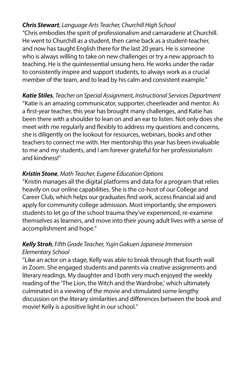#### *Chris Stewart, Language Arts Teacher, Churchill High School*

"Chris embodies the spirit of professionalism and camaraderie at Churchill. He went to Churchill as a student, then came back as a student-teacher, and now has taught English there for the last 20 years. He is someone who is always willing to take on new challenges or try a new approach to teaching. He is the quintessential unsung hero. He works under the radar to consistently inspire and support students, to always work as a crucial member of the team, and to lead by his calm and consistent example."

*Katie Stiles, Teacher on Special Assignment, Instructional Services Department* "Katie is an amazing communicator, supporter, cheerleader and mentor. As a first-year teacher, this year has brought many challenges, and Katie has been there with a shoulder to lean on and an ear to listen. Not only does she meet with me regularly and flexibly to address my questions and concerns, she is diligently on the lookout for resources, webinars, books and other teachers to connect me with. Her mentorship this year has been invaluable to me and my students, and I am forever grateful for her professionalism and kindness!"

#### *Kristin Stone, Math Teacher, Eugene Education Options*

"Kristin manages all the digital platforms and data for a program that relies heavily on our online capabilities. She is the co-host of our College and Career Club, which helps our graduates find work, access financial aid and apply for community college admission. Most importantly, she empowers students to let go of the school trauma they've experienced, re-examine themselves as learners, and move into their young adult lives with a sense of accomplishment and hope."

#### *Kelly Stroh, Fifth Grade Teacher, Yujin Gakuen Japanese Immersion Elementary School*

"Like an actor on a stage, Kelly was able to break through that fourth wall in Zoom. She engaged students and parents via creative assignments and literary readings. My daughter and I both very much enjoyed the weekly reading of the 'The Lion, the Witch and the Wardrobe,' which ultimately culminated in a viewing of the movie and stimulated some lengthy discussion on the literary similarities and differences between the book and movie! Kelly is a positive light in our school."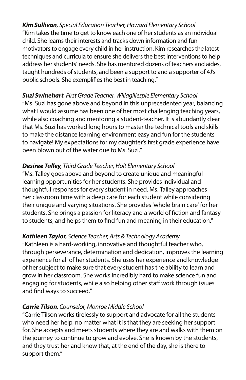*Kim Sullivan, Special Education Teacher, Howard Elementary School* "Kim takes the time to get to know each one of her students as an individual child. She learns their interests and tracks down information and fun motivators to engage every child in her instruction. Kim researches the latest techniques and curricula to ensure she delivers the best interventions to help address her students' needs. She has mentored dozens of teachers and aides, taught hundreds of students, and been a support to and a supporter of 4J's public schools. She exemplifies the best in teaching."

#### *Suzi Swinehart, First Grade Teacher, Willagillespie Elementary School*

"Ms. Suzi has gone above and beyond in this unprecedented year, balancing what I would assume has been one of her most challenging teaching years, while also coaching and mentoring a student-teacher. It is abundantly clear that Ms. Suzi has worked long hours to master the technical tools and skills to make the distance learning environment easy and fun for the students to navigate! My expectations for my daughter's first grade experience have been blown out of the water due to Ms. Suzi."

#### *Desiree Talley, Third Grade Teacher, Holt Elementary School*

"Ms. Talley goes above and beyond to create unique and meaningful learning opportunities for her students. She provides individual and thoughtful responses for every student in need. Ms. Talley approaches her classroom time with a deep care for each student while considering their unique and varying situations. She provides 'whole brain care' for her students. She brings a passion for literacy and a world of fiction and fantasy to students, and helps them to find fun and meaning in their education."

#### *Kathleen Taylor, Science Teacher, Arts & Technology Academy*

"Kathleen is a hard-working, innovative and thoughtful teacher who, through perseverance, determination and dedication, improves the learning experience for all of her students. She uses her experience and knowledge of her subject to make sure that every student has the ability to learn and grow in her classroom. She works incredibly hard to make science fun and engaging for students, while also helping other staff work through issues and find ways to succeed."

#### *Carrie Tilson, Counselor, Monroe Middle School*

"Carrie Tilson works tirelessly to support and advocate for all the students who need her help, no matter what it is that they are seeking her support for. She accepts and meets students where they are and walks with them on the journey to continue to grow and evolve. She is known by the students, and they trust her and know that, at the end of the day, she is there to support them."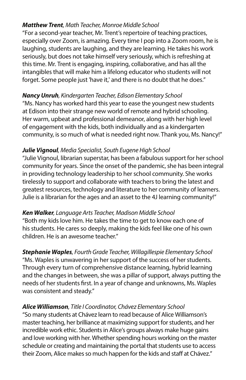#### *Matthew Trent, Math Teacher, Monroe Middle School*

"For a second-year teacher, Mr. Trent's repertoire of teaching practices, especially over Zoom, is amazing. Every time I pop into a Zoom room, he is laughing, students are laughing, and they are learning. He takes his work seriously, but does not take himself very seriously, which is refreshing at this time. Mr. Trent is engaging, inspiring, collaborative, and has all the intangibles that will make him a lifelong educator who students will not forget. Some people just 'have it,' and there is no doubt that he does."

#### *Nancy Unruh, Kindergarten Teacher, Edison Elementary School*

"Ms. Nancy has worked hard this year to ease the youngest new students at Edison into their strange new world of remote and hybrid schooling. Her warm, upbeat and professional demeanor, along with her high level of engagement with the kids, both individually and as a kindergarten community, is so much of what is needed right now. Thank you, Ms. Nancy!"

#### *Julie Vignoul, Media Specialist, South Eugene High School*

"Julie Vignoul, librarian superstar, has been a fabulous support for her school community for years. Since the onset of the pandemic, she has been integral in providing technology leadership to her school community. She works tirelessly to support and collaborate with teachers to bring the latest and greatest resources, technology and literature to her community of learners. Julie is a librarian for the ages and an asset to the 4J learning community!"

#### *Ken Walker, Language Arts Teacher, Madison Middle School*

"Both my kids love him. He takes the time to get to know each one of his students. He cares so deeply, making the kids feel like one of his own children. He is an awesome teacher."

*Stephanie Waples, Fourth Grade Teacher, Willagillespie Elementary School* "Ms. Waples is unwavering in her support of the success of her students. Through every turn of comprehensive distance learning, hybrid learning and the changes in between, she was a pillar of support, always putting the needs of her students first. In a year of change and unknowns, Ms. Waples was consistent and steady."

#### *Alice Williamson, Title I Coordinator, Chávez Elementary School* "So many students at Chávez learn to read because of Alice Williamson's master teaching, her brilliance at maximizing support for students, and her incredible work ethic. Students in Alice's groups always make huge gains and love working with her. Whether spending hours working on the master schedule or creating and maintaining the portal that students use to access their Zoom, Alice makes so much happen for the kids and staff at Chávez."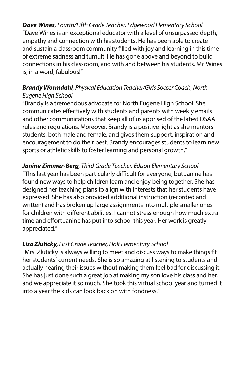*Dave Wines, Fourth/Fifth Grade Teacher, Edgewood Elementary School* "Dave Wines is an exceptional educator with a level of unsurpassed depth, empathy and connection with his students. He has been able to create and sustain a classroom community filled with joy and learning in this time of extreme sadness and tumult. He has gone above and beyond to build connections in his classroom, and with and between his students. Mr. Wines is, in a word, fabulous!"

#### *Brandy Wormdahl, Physical Education Teacher/Girls Soccer Coach, North Eugene High School*

"Brandy is a tremendous advocate for North Eugene High School. She communicates effectively with students and parents with weekly emails and other communications that keep all of us apprised of the latest OSAA rules and regulations. Moreover, Brandy is a positive light as she mentors students, both male and female, and gives them support, inspiration and encouragement to do their best. Brandy encourages students to learn new sports or athletic skills to foster learning and personal growth."

#### *Janine Zimmer-Berg, Third Grade Teacher, Edison Elementary School*

"This last year has been particularly difficult for everyone, but Janine has found new ways to help children learn and enjoy being together. She has designed her teaching plans to align with interests that her students have expressed. She has also provided additional instruction (recorded and written) and has broken up large assignments into multiple smaller ones for children with different abilities. I cannot stress enough how much extra time and effort Janine has put into school this year. Her work is greatly appreciated."

#### *Lisa Zluticky, First Grade Teacher, Holt Elementary School*

"Mrs. Zluticky is always willing to meet and discuss ways to make things fit her students' current needs. She is so amazing at listening to students and actually hearing their issues without making them feel bad for discussing it. She has just done such a great job at making my son love his class and her, and we appreciate it so much. She took this virtual school year and turned it into a year the kids can look back on with fondness."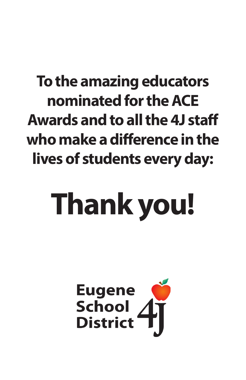# **To the amazing educators nominated for the ACE Awards and to all the 4J staff who make a difference in the lives of students every day:**

# **Thank you!**